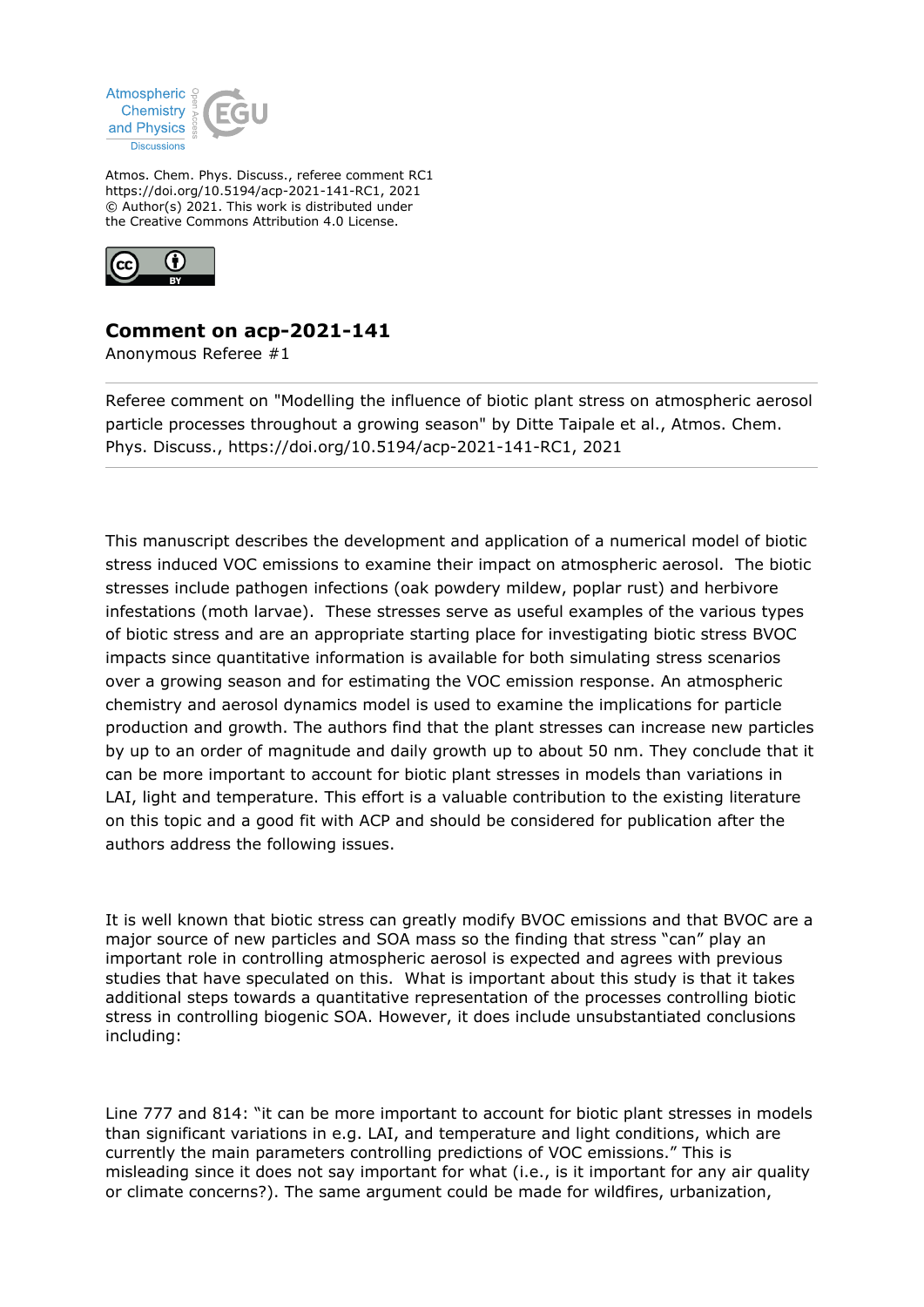

Atmos. Chem. Phys. Discuss., referee comment RC1 https://doi.org/10.5194/acp-2021-141-RC1, 2021 © Author(s) 2021. This work is distributed under the Creative Commons Attribution 4.0 License.



## **Comment on acp-2021-141**

Anonymous Referee #1

Referee comment on "Modelling the influence of biotic plant stress on atmospheric aerosol particle processes throughout a growing season" by Ditte Taipale et al., Atmos. Chem. Phys. Discuss., https://doi.org/10.5194/acp-2021-141-RC1, 2021

This manuscript describes the development and application of a numerical model of biotic stress induced VOC emissions to examine their impact on atmospheric aerosol. The biotic stresses include pathogen infections (oak powdery mildew, poplar rust) and herbivore infestations (moth larvae). These stresses serve as useful examples of the various types of biotic stress and are an appropriate starting place for investigating biotic stress BVOC impacts since quantitative information is available for both simulating stress scenarios over a growing season and for estimating the VOC emission response. An atmospheric chemistry and aerosol dynamics model is used to examine the implications for particle production and growth. The authors find that the plant stresses can increase new particles by up to an order of magnitude and daily growth up to about 50 nm. They conclude that it can be more important to account for biotic plant stresses in models than variations in LAI, light and temperature. This effort is a valuable contribution to the existing literature on this topic and a good fit with ACP and should be considered for publication after the authors address the following issues.

It is well known that biotic stress can greatly modify BVOC emissions and that BVOC are a major source of new particles and SOA mass so the finding that stress "can" play an important role in controlling atmospheric aerosol is expected and agrees with previous studies that have speculated on this. What is important about this study is that it takes additional steps towards a quantitative representation of the processes controlling biotic stress in controlling biogenic SOA. However, it does include unsubstantiated conclusions including:

Line 777 and 814: "it can be more important to account for biotic plant stresses in models than significant variations in e.g. LAI, and temperature and light conditions, which are currently the main parameters controlling predictions of VOC emissions." This is misleading since it does not say important for what (i.e., is it important for any air quality or climate concerns?). The same argument could be made for wildfires, urbanization,